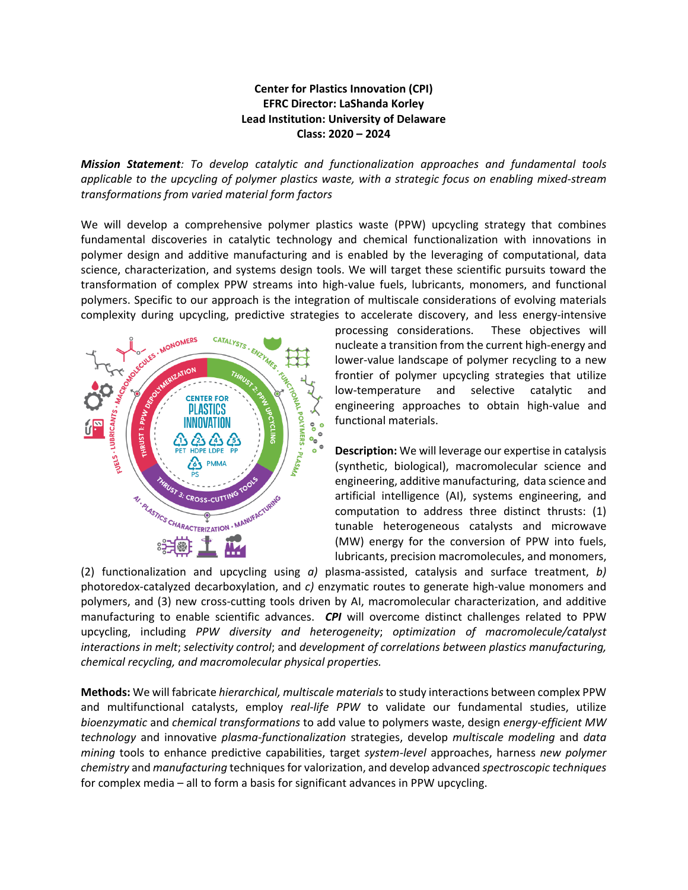## **Center for Plastics Innovation (CPI) EFRC Director: LaShanda Korley Lead Institution: University of Delaware Class: 2020 – 2024**

*Mission Statement: To develop catalytic and functionalization approaches and fundamental tools applicable to the upcycling of polymer plastics waste, with a strategic focus on enabling mixed-stream transformations from varied material form factors*

We will develop a comprehensive polymer plastics waste (PPW) upcycling strategy that combines fundamental discoveries in catalytic technology and chemical functionalization with innovations in polymer design and additive manufacturing and is enabled by the leveraging of computational, data science, characterization, and systems design tools. We will target these scientific pursuits toward the transformation of complex PPW streams into high-value fuels, lubricants, monomers, and functional polymers. Specific to our approach is the integration of multiscale considerations of evolving materials complexity during upcycling, predictive strategies to accelerate discovery, and less energy-intensive



processing considerations. These objectives will nucleate a transition from the current high-energy and lower-value landscape of polymer recycling to a new frontier of polymer upcycling strategies that utilize low-temperature and selective catalytic and engineering approaches to obtain high-value and functional materials.

**Description:** We will leverage our expertise in catalysis (synthetic, biological), macromolecular science and engineering, additive manufacturing, data science and artificial intelligence (AI), systems engineering, and computation to address three distinct thrusts: (1) tunable heterogeneous catalysts and microwave (MW) energy for the conversion of PPW into fuels, lubricants, precision macromolecules, and monomers,

(2) functionalization and upcycling using *a)* plasma-assisted, catalysis and surface treatment, *b)* photoredox-catalyzed decarboxylation, and *c)* enzymatic routes to generate high-value monomers and polymers, and (3) new cross-cutting tools driven by AI, macromolecular characterization, and additive manufacturing to enable scientific advances. *CPI* will overcome distinct challenges related to PPW upcycling, including *PPW diversity and heterogeneity*; *optimization of macromolecule/catalyst interactions in melt*; *selectivity control*; and *development of correlations between plastics manufacturing, chemical recycling, and macromolecular physical properties.*

**Methods:** We will fabricate *hierarchical, multiscale materials*to study interactions between complex PPW and multifunctional catalysts, employ *real-life PPW* to validate our fundamental studies, utilize *bioenzymatic* and *chemical transformations* to add value to polymers waste, design *energy-efficient MW technology* and innovative *plasma-functionalization* strategies, develop *multiscale modeling* and *data mining* tools to enhance predictive capabilities, target *system-level* approaches, harness *new polymer chemistry* and *manufacturing* techniques for valorization, and develop advanced *spectroscopic techniques* for complex media – all to form a basis for significant advances in PPW upcycling.